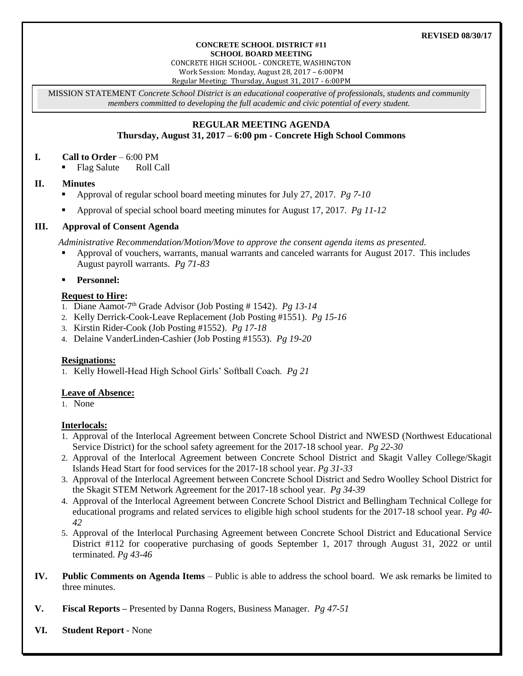#### **CONCRETE SCHOOL DISTRICT #11 SCHOOL BOARD MEETING**

CONCRETE HIGH SCHOOL - CONCRETE, WASHINGTON

Work Session: Monday, August 28, 2017 – 6:00PM

Regular Meeting: Thursday, August 31, 2017 - 6:00PM

MISSION STATEMENT *Concrete School District is an educational cooperative of professionals, students and community members committed to developing the full academic and civic potential of every student.*

# **REGULAR MEETING AGENDA**

**Thursday, August 31, 2017 – 6:00 pm - Concrete High School Commons**

## **I. Call to Order** – 6:00 PM

• Flag Salute Roll Call

# **II. Minutes**

- Approval of regular school board meeting minutes for July 27, 2017. *Pg 7-10*
- Approval of special school board meeting minutes for August 17, 2017. *Pg 11-12*

# **III. Approval of Consent Agenda**

*Administrative Recommendation/Motion/Move to approve the consent agenda items as presented.*

 Approval of vouchers, warrants, manual warrants and canceled warrants for August 2017. This includes August payroll warrants. *Pg 71-83*

# **Personnel:**

# **Request to Hire:**

- 1. Diane Aamot-7 th Grade Advisor (Job Posting # 1542). *Pg 13-14*
- 2. Kelly Derrick-Cook-Leave Replacement (Job Posting #1551). *Pg 15-16*
- 3. Kirstin Rider-Cook (Job Posting #1552). *Pg 17-18*
- 4. Delaine VanderLinden-Cashier (Job Posting #1553). *Pg 19-20*

### **Resignations:**

1. Kelly Howell-Head High School Girls' Softball Coach. *Pg 21*

# **Leave of Absence:**

1. None

# **Interlocals:**

- 1. Approval of the Interlocal Agreement between Concrete School District and NWESD (Northwest Educational Service District) for the school safety agreement for the 2017-18 school year. *Pg 22-30*
- 2. Approval of the Interlocal Agreement between Concrete School District and Skagit Valley College/Skagit Islands Head Start for food services for the 2017-18 school year. *Pg 31-33*
- 3. Approval of the Interlocal Agreement between Concrete School District and Sedro Woolley School District for the Skagit STEM Network Agreement for the 2017-18 school year. *Pg 34-39*
- 4. Approval of the Interlocal Agreement between Concrete School District and Bellingham Technical College for educational programs and related services to eligible high school students for the 2017-18 school year. *Pg 40- 42*
- 5. Approval of the Interlocal Purchasing Agreement between Concrete School District and Educational Service District #112 for cooperative purchasing of goods September 1, 2017 through August 31, 2022 or until terminated. *Pg 43-46*
- **IV. Public Comments on Agenda Items** Public is able to address the school board. We ask remarks be limited to three minutes.
- **V. Fiscal Reports –** Presented by Danna Rogers, Business Manager. *Pg 47-51*
- **VI. Student Report** None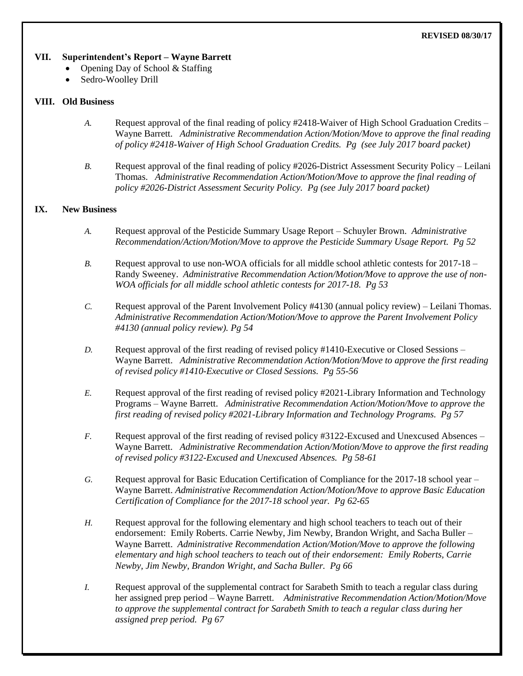#### **REVISED 08/30/17**

## **VII. Superintendent's Report – Wayne Barrett**

- Opening Day of School & Staffing
	- Sedro-Woolley Drill

# **VIII. Old Business**

- *A.* Request approval of the final reading of policy #2418-Waiver of High School Graduation Credits Wayne Barrett. *Administrative Recommendation Action/Motion/Move to approve the final reading of policy #2418-Waiver of High School Graduation Credits. Pg (see July 2017 board packet)*
- *B.* Request approval of the final reading of policy #2026-District Assessment Security Policy Leilani Thomas. *Administrative Recommendation Action/Motion/Move to approve the final reading of policy #2026-District Assessment Security Policy. Pg (see July 2017 board packet)*

# **IX. New Business**

- *A.* Request approval of the Pesticide Summary Usage Report Schuyler Brown. *Administrative Recommendation/Action/Motion/Move to approve the Pesticide Summary Usage Report. Pg 52*
- *B.* Request approval to use non-WOA officials for all middle school athletic contests for 2017-18 Randy Sweeney. *Administrative Recommendation Action/Motion/Move to approve the use of non-WOA officials for all middle school athletic contests for 2017-18. Pg 53*
- *C.* Request approval of the Parent Involvement Policy #4130 (annual policy review) Leilani Thomas. *Administrative Recommendation Action/Motion/Move to approve the Parent Involvement Policy #4130 (annual policy review). Pg 54*
- *D.* Request approval of the first reading of revised policy #1410-Executive or Closed Sessions Wayne Barrett. *Administrative Recommendation Action/Motion/Move to approve the first reading of revised policy #1410-Executive or Closed Sessions. Pg 55-56*
- *E.* Request approval of the first reading of revised policy #2021-Library Information and Technology Programs – Wayne Barrett. *Administrative Recommendation Action/Motion/Move to approve the first reading of revised policy #2021-Library Information and Technology Programs. Pg 57*
- *F.* Request approval of the first reading of revised policy #3122-Excused and Unexcused Absences Wayne Barrett. *Administrative Recommendation Action/Motion/Move to approve the first reading of revised policy #3122-Excused and Unexcused Absences. Pg 58-61*
- *G.* Request approval for Basic Education Certification of Compliance for the 2017-18 school year Wayne Barrett. *Administrative Recommendation Action/Motion/Move to approve Basic Education Certification of Compliance for the 2017-18 school year. Pg 62-65*
- *H.* Request approval for the following elementary and high school teachers to teach out of their endorsement: Emily Roberts. Carrie Newby, Jim Newby, Brandon Wright, and Sacha Buller – Wayne Barrett. *Administrative Recommendation Action/Motion/Move to approve the following elementary and high school teachers to teach out of their endorsement: Emily Roberts, Carrie Newby, Jim Newby, Brandon Wright, and Sacha Buller. Pg 66*
- *I.* Request approval of the supplemental contract for Sarabeth Smith to teach a regular class during her assigned prep period – Wayne Barrett. *Administrative Recommendation Action/Motion/Move to approve the supplemental contract for Sarabeth Smith to teach a regular class during her assigned prep period. Pg 67*